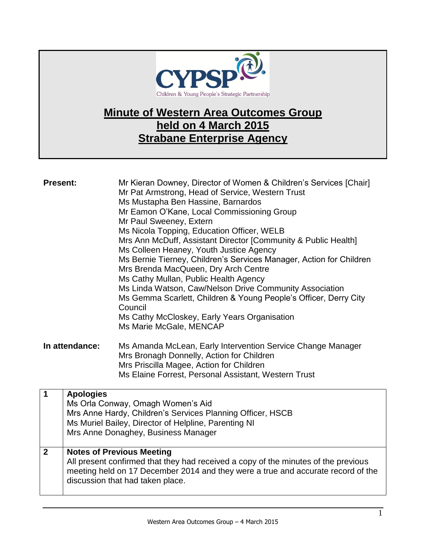

## **Minute of Western Area Outcomes Group held on 4 March 2015 Strabane Enterprise Agency**

| <b>Present:</b> | Mr Kieran Downey, Director of Women & Children's Services [Chair]<br>Mr Pat Armstrong, Head of Service, Western Trust<br>Ms Mustapha Ben Hassine, Barnardos<br>Mr Eamon O'Kane, Local Commissioning Group<br>Mr Paul Sweeney, Extern<br>Ms Nicola Topping, Education Officer, WELB<br>Mrs Ann McDuff, Assistant Director [Community & Public Health]<br>Ms Colleen Heaney, Youth Justice Agency<br>Ms Bernie Tierney, Children's Services Manager, Action for Children<br>Mrs Brenda MacQueen, Dry Arch Centre<br>Ms Cathy Mullan, Public Health Agency<br>Ms Linda Watson, Caw/Nelson Drive Community Association<br>Ms Gemma Scarlett, Children & Young People's Officer, Derry City<br>Council<br>Ms Cathy McCloskey, Early Years Organisation<br>Ms Marie McGale, MENCAP |
|-----------------|------------------------------------------------------------------------------------------------------------------------------------------------------------------------------------------------------------------------------------------------------------------------------------------------------------------------------------------------------------------------------------------------------------------------------------------------------------------------------------------------------------------------------------------------------------------------------------------------------------------------------------------------------------------------------------------------------------------------------------------------------------------------------|
| In attendance:  | Ms Amanda McLean, Early Intervention Service Change Manager<br>Mrs Bronagh Donnelly, Action for Children<br>Mrs Priscilla Magee, Action for Children<br>Ms Elaine Forrest, Personal Assistant, Western Trust                                                                                                                                                                                                                                                                                                                                                                                                                                                                                                                                                                 |

|              | <b>Apologies</b><br>Ms Orla Conway, Omagh Women's Aid<br>Mrs Anne Hardy, Children's Services Planning Officer, HSCB<br>Ms Muriel Bailey, Director of Helpline, Parenting NI<br>Mrs Anne Donaghey, Business Manager                             |
|--------------|------------------------------------------------------------------------------------------------------------------------------------------------------------------------------------------------------------------------------------------------|
| $\mathbf{2}$ | <b>Notes of Previous Meeting</b><br>All present confirmed that they had received a copy of the minutes of the previous<br>meeting held on 17 December 2014 and they were a true and accurate record of the<br>discussion that had taken place. |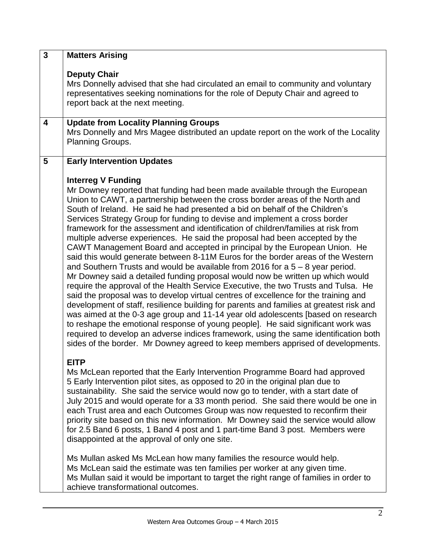| $\overline{\mathbf{3}}$ | <b>Matters Arising</b>                                                                                                                                                                                                                                                                                                                                                                                                                                                                                                                                                                                                                                                                                                                                                                                                                                                                                                                                                                                                                                                                                                                                                                                                                                                                                                                                                                                                                                                                       |
|-------------------------|----------------------------------------------------------------------------------------------------------------------------------------------------------------------------------------------------------------------------------------------------------------------------------------------------------------------------------------------------------------------------------------------------------------------------------------------------------------------------------------------------------------------------------------------------------------------------------------------------------------------------------------------------------------------------------------------------------------------------------------------------------------------------------------------------------------------------------------------------------------------------------------------------------------------------------------------------------------------------------------------------------------------------------------------------------------------------------------------------------------------------------------------------------------------------------------------------------------------------------------------------------------------------------------------------------------------------------------------------------------------------------------------------------------------------------------------------------------------------------------------|
|                         | <b>Deputy Chair</b><br>Mrs Donnelly advised that she had circulated an email to community and voluntary<br>representatives seeking nominations for the role of Deputy Chair and agreed to<br>report back at the next meeting.                                                                                                                                                                                                                                                                                                                                                                                                                                                                                                                                                                                                                                                                                                                                                                                                                                                                                                                                                                                                                                                                                                                                                                                                                                                                |
| $\overline{\mathbf{4}}$ | <b>Update from Locality Planning Groups</b><br>Mrs Donnelly and Mrs Magee distributed an update report on the work of the Locality<br>Planning Groups.                                                                                                                                                                                                                                                                                                                                                                                                                                                                                                                                                                                                                                                                                                                                                                                                                                                                                                                                                                                                                                                                                                                                                                                                                                                                                                                                       |
| 5                       | <b>Early Intervention Updates</b>                                                                                                                                                                                                                                                                                                                                                                                                                                                                                                                                                                                                                                                                                                                                                                                                                                                                                                                                                                                                                                                                                                                                                                                                                                                                                                                                                                                                                                                            |
|                         | <b>Interreg V Funding</b><br>Mr Downey reported that funding had been made available through the European<br>Union to CAWT, a partnership between the cross border areas of the North and<br>South of Ireland. He said he had presented a bid on behalf of the Children's<br>Services Strategy Group for funding to devise and implement a cross border<br>framework for the assessment and identification of children/families at risk from<br>multiple adverse experiences. He said the proposal had been accepted by the<br>CAWT Management Board and accepted in principal by the European Union. He<br>said this would generate between 8-11M Euros for the border areas of the Western<br>and Southern Trusts and would be available from 2016 for a $5 - 8$ year period.<br>Mr Downey said a detailed funding proposal would now be written up which would<br>require the approval of the Health Service Executive, the two Trusts and Tulsa. He<br>said the proposal was to develop virtual centres of excellence for the training and<br>development of staff, resilience building for parents and families at greatest risk and<br>was aimed at the 0-3 age group and 11-14 year old adolescents [based on research<br>to reshape the emotional response of young people]. He said significant work was<br>required to develop an adverse indices framework, using the same identification both<br>sides of the border. Mr Downey agreed to keep members apprised of developments. |
|                         | <b>EITP</b><br>Ms McLean reported that the Early Intervention Programme Board had approved<br>5 Early Intervention pilot sites, as opposed to 20 in the original plan due to<br>sustainability. She said the service would now go to tender, with a start date of<br>July 2015 and would operate for a 33 month period. She said there would be one in<br>each Trust area and each Outcomes Group was now requested to reconfirm their<br>priority site based on this new information. Mr Downey said the service would allow<br>for 2.5 Band 6 posts, 1 Band 4 post and 1 part-time Band 3 post. Members were<br>disappointed at the approval of only one site.                                                                                                                                                                                                                                                                                                                                                                                                                                                                                                                                                                                                                                                                                                                                                                                                                             |
|                         | Ms Mullan asked Ms McLean how many families the resource would help.<br>Ms McLean said the estimate was ten families per worker at any given time.<br>Ms Mullan said it would be important to target the right range of families in order to<br>achieve transformational outcomes.                                                                                                                                                                                                                                                                                                                                                                                                                                                                                                                                                                                                                                                                                                                                                                                                                                                                                                                                                                                                                                                                                                                                                                                                           |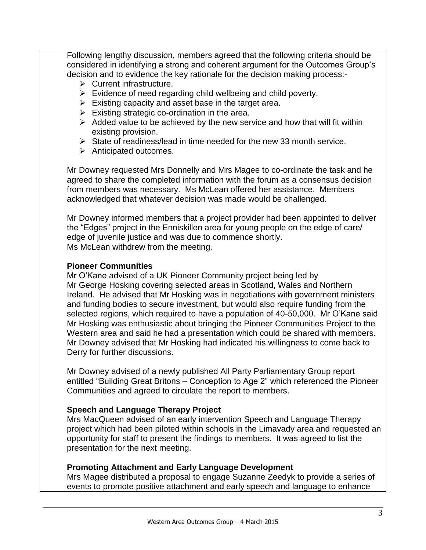Following lengthy discussion, members agreed that the following criteria should be considered in identifying a strong and coherent argument for the Outcomes Group's decision and to evidence the key rationale for the decision making process:-

- $\triangleright$  Current infrastructure.
- $\triangleright$  Evidence of need regarding child wellbeing and child poverty.
- $\triangleright$  Existing capacity and asset base in the target area.
- $\triangleright$  Existing strategic co-ordination in the area.
- $\triangleright$  Added value to be achieved by the new service and how that will fit within existing provision.
- $\triangleright$  State of readiness/lead in time needed for the new 33 month service.
- $\triangleright$  Anticipated outcomes.

Mr Downey requested Mrs Donnelly and Mrs Magee to co-ordinate the task and he agreed to share the completed information with the forum as a consensus decision from members was necessary. Ms McLean offered her assistance. Members acknowledged that whatever decision was made would be challenged.

Mr Downey informed members that a project provider had been appointed to deliver the "Edges" project in the Enniskillen area for young people on the edge of care/ edge of juvenile justice and was due to commence shortly. Ms McLean withdrew from the meeting.

## **Pioneer Communities**

Mr O'Kane advised of a UK Pioneer Community project being led by Mr George Hosking covering selected areas in Scotland, Wales and Northern Ireland. He advised that Mr Hosking was in negotiations with government ministers and funding bodies to secure investment, but would also require funding from the selected regions, which required to have a population of 40-50,000. Mr O'Kane said Mr Hosking was enthusiastic about bringing the Pioneer Communities Project to the Western area and said he had a presentation which could be shared with members. Mr Downey advised that Mr Hosking had indicated his willingness to come back to Derry for further discussions.

Mr Downey advised of a newly published All Party Parliamentary Group report entitled "Building Great Britons – Conception to Age 2" which referenced the Pioneer Communities and agreed to circulate the report to members.

## **Speech and Language Therapy Project**

Mrs MacQueen advised of an early intervention Speech and Language Therapy project which had been piloted within schools in the Limavady area and requested an opportunity for staff to present the findings to members. It was agreed to list the presentation for the next meeting.

## **Promoting Attachment and Early Language Development**

Mrs Magee distributed a proposal to engage Suzanne Zeedyk to provide a series of events to promote positive attachment and early speech and language to enhance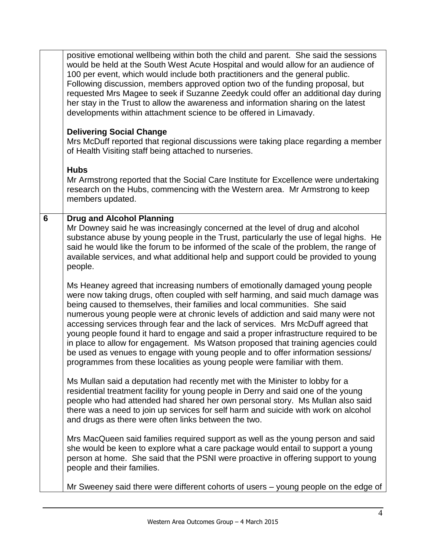|   | positive emotional wellbeing within both the child and parent. She said the sessions<br>would be held at the South West Acute Hospital and would allow for an audience of<br>100 per event, which would include both practitioners and the general public.<br>Following discussion, members approved option two of the funding proposal, but<br>requested Mrs Magee to seek if Suzanne Zeedyk could offer an additional day during<br>her stay in the Trust to allow the awareness and information sharing on the latest<br>developments within attachment science to be offered in Limavady.                                                                                                                                                                        |
|---|----------------------------------------------------------------------------------------------------------------------------------------------------------------------------------------------------------------------------------------------------------------------------------------------------------------------------------------------------------------------------------------------------------------------------------------------------------------------------------------------------------------------------------------------------------------------------------------------------------------------------------------------------------------------------------------------------------------------------------------------------------------------|
|   | <b>Delivering Social Change</b><br>Mrs McDuff reported that regional discussions were taking place regarding a member<br>of Health Visiting staff being attached to nurseries.                                                                                                                                                                                                                                                                                                                                                                                                                                                                                                                                                                                       |
|   | <b>Hubs</b><br>Mr Armstrong reported that the Social Care Institute for Excellence were undertaking<br>research on the Hubs, commencing with the Western area. Mr Armstrong to keep<br>members updated.                                                                                                                                                                                                                                                                                                                                                                                                                                                                                                                                                              |
| 6 | <b>Drug and Alcohol Planning</b><br>Mr Downey said he was increasingly concerned at the level of drug and alcohol<br>substance abuse by young people in the Trust, particularly the use of legal highs. He<br>said he would like the forum to be informed of the scale of the problem, the range of<br>available services, and what additional help and support could be provided to young<br>people.                                                                                                                                                                                                                                                                                                                                                                |
|   | Ms Heaney agreed that increasing numbers of emotionally damaged young people<br>were now taking drugs, often coupled with self harming, and said much damage was<br>being caused to themselves, their families and local communities. She said<br>numerous young people were at chronic levels of addiction and said many were not<br>accessing services through fear and the lack of services. Mrs McDuff agreed that<br>young people found it hard to engage and said a proper infrastructure required to be<br>in place to allow for engagement. Ms Watson proposed that training agencies could<br>be used as venues to engage with young people and to offer information sessions/<br>programmes from these localities as young people were familiar with them. |
|   | Ms Mullan said a deputation had recently met with the Minister to lobby for a<br>residential treatment facility for young people in Derry and said one of the young<br>people who had attended had shared her own personal story. Ms Mullan also said<br>there was a need to join up services for self harm and suicide with work on alcohol<br>and drugs as there were often links between the two.                                                                                                                                                                                                                                                                                                                                                                 |
|   | Mrs MacQueen said families required support as well as the young person and said<br>she would be keen to explore what a care package would entail to support a young<br>person at home. She said that the PSNI were proactive in offering support to young<br>people and their families.                                                                                                                                                                                                                                                                                                                                                                                                                                                                             |
|   | Mr Sweeney said there were different cohorts of users - young people on the edge of                                                                                                                                                                                                                                                                                                                                                                                                                                                                                                                                                                                                                                                                                  |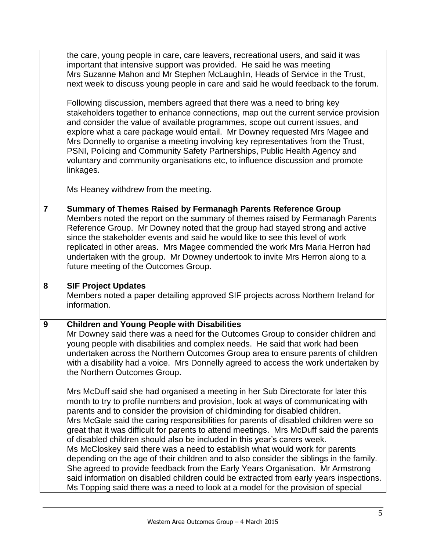|                | the care, young people in care, care leavers, recreational users, and said it was<br>important that intensive support was provided. He said he was meeting<br>Mrs Suzanne Mahon and Mr Stephen McLaughlin, Heads of Service in the Trust,<br>next week to discuss young people in care and said he would feedback to the forum.<br>Following discussion, members agreed that there was a need to bring key<br>stakeholders together to enhance connections, map out the current service provision<br>and consider the value of available programmes, scope out current issues, and<br>explore what a care package would entail. Mr Downey requested Mrs Magee and<br>Mrs Donnelly to organise a meeting involving key representatives from the Trust,<br>PSNI, Policing and Community Safety Partnerships, Public Health Agency and<br>voluntary and community organisations etc, to influence discussion and promote<br>linkages.<br>Ms Heaney withdrew from the meeting. |
|----------------|----------------------------------------------------------------------------------------------------------------------------------------------------------------------------------------------------------------------------------------------------------------------------------------------------------------------------------------------------------------------------------------------------------------------------------------------------------------------------------------------------------------------------------------------------------------------------------------------------------------------------------------------------------------------------------------------------------------------------------------------------------------------------------------------------------------------------------------------------------------------------------------------------------------------------------------------------------------------------|
|                |                                                                                                                                                                                                                                                                                                                                                                                                                                                                                                                                                                                                                                                                                                                                                                                                                                                                                                                                                                            |
| $\overline{7}$ | Summary of Themes Raised by Fermanagh Parents Reference Group<br>Members noted the report on the summary of themes raised by Fermanagh Parents<br>Reference Group. Mr Downey noted that the group had stayed strong and active<br>since the stakeholder events and said he would like to see this level of work<br>replicated in other areas. Mrs Magee commended the work Mrs Maria Herron had<br>undertaken with the group. Mr Downey undertook to invite Mrs Herron along to a<br>future meeting of the Outcomes Group.                                                                                                                                                                                                                                                                                                                                                                                                                                                 |
| 8              | <b>SIF Project Updates</b><br>Members noted a paper detailing approved SIF projects across Northern Ireland for<br>information.                                                                                                                                                                                                                                                                                                                                                                                                                                                                                                                                                                                                                                                                                                                                                                                                                                            |
| 9              | <b>Children and Young People with Disabilities</b><br>Mr Downey said there was a need for the Outcomes Group to consider children and<br>young people with disabilities and complex needs. He said that work had been<br>undertaken across the Northern Outcomes Group area to ensure parents of children<br>with a disability had a voice. Mrs Donnelly agreed to access the work undertaken by<br>the Northern Outcomes Group.<br>Mrs McDuff said she had organised a meeting in her Sub Directorate for later this<br>month to try to profile numbers and provision, look at ways of communicating with<br>parents and to consider the provision of childminding for disabled children.                                                                                                                                                                                                                                                                                 |
|                | Mrs McGale said the caring responsibilities for parents of disabled children were so<br>great that it was difficult for parents to attend meetings. Mrs McDuff said the parents<br>of disabled children should also be included in this year's carers week.<br>Ms McCloskey said there was a need to establish what would work for parents<br>depending on the age of their children and to also consider the siblings in the family.<br>She agreed to provide feedback from the Early Years Organisation. Mr Armstrong<br>said information on disabled children could be extracted from early years inspections.<br>Ms Topping said there was a need to look at a model for the provision of special                                                                                                                                                                                                                                                                      |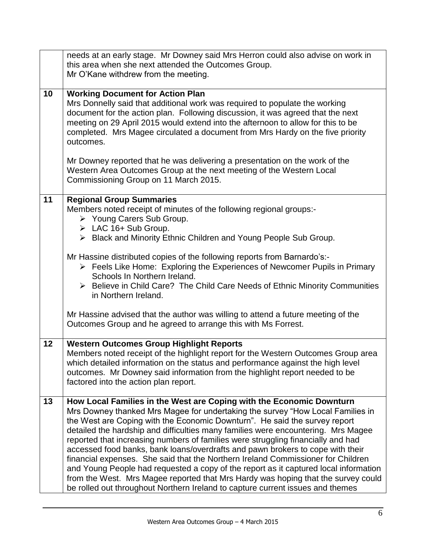|    | needs at an early stage. Mr Downey said Mrs Herron could also advise on work in<br>this area when she next attended the Outcomes Group.<br>Mr O'Kane withdrew from the meeting.                                                                                                                                                                                                                                                                                                                                                                                                                                                                                                                                                                                                                                                                    |
|----|----------------------------------------------------------------------------------------------------------------------------------------------------------------------------------------------------------------------------------------------------------------------------------------------------------------------------------------------------------------------------------------------------------------------------------------------------------------------------------------------------------------------------------------------------------------------------------------------------------------------------------------------------------------------------------------------------------------------------------------------------------------------------------------------------------------------------------------------------|
| 10 | <b>Working Document for Action Plan</b><br>Mrs Donnelly said that additional work was required to populate the working<br>document for the action plan. Following discussion, it was agreed that the next<br>meeting on 29 April 2015 would extend into the afternoon to allow for this to be<br>completed. Mrs Magee circulated a document from Mrs Hardy on the five priority<br>outcomes.                                                                                                                                                                                                                                                                                                                                                                                                                                                       |
|    | Mr Downey reported that he was delivering a presentation on the work of the<br>Western Area Outcomes Group at the next meeting of the Western Local<br>Commissioning Group on 11 March 2015.                                                                                                                                                                                                                                                                                                                                                                                                                                                                                                                                                                                                                                                       |
| 11 | <b>Regional Group Summaries</b><br>Members noted receipt of minutes of the following regional groups:-<br>▶ Young Carers Sub Group.<br>$\triangleright$ LAC 16+ Sub Group.<br>> Black and Minority Ethnic Children and Young People Sub Group.                                                                                                                                                                                                                                                                                                                                                                                                                                                                                                                                                                                                     |
|    | Mr Hassine distributed copies of the following reports from Barnardo's:-<br>> Feels Like Home: Exploring the Experiences of Newcomer Pupils in Primary<br>Schools In Northern Ireland.<br>$\triangleright$ Believe in Child Care? The Child Care Needs of Ethnic Minority Communities<br>in Northern Ireland.                                                                                                                                                                                                                                                                                                                                                                                                                                                                                                                                      |
|    | Mr Hassine advised that the author was willing to attend a future meeting of the<br>Outcomes Group and he agreed to arrange this with Ms Forrest.                                                                                                                                                                                                                                                                                                                                                                                                                                                                                                                                                                                                                                                                                                  |
| 12 | <b>Western Outcomes Group Highlight Reports</b><br>Members noted receipt of the highlight report for the Western Outcomes Group area<br>which detailed information on the status and performance against the high level<br>outcomes. Mr Downey said information from the highlight report needed to be<br>factored into the action plan report.                                                                                                                                                                                                                                                                                                                                                                                                                                                                                                    |
| 13 | How Local Families in the West are Coping with the Economic Downturn<br>Mrs Downey thanked Mrs Magee for undertaking the survey "How Local Families in<br>the West are Coping with the Economic Downturn". He said the survey report<br>detailed the hardship and difficulties many families were encountering. Mrs Magee<br>reported that increasing numbers of families were struggling financially and had<br>accessed food banks, bank loans/overdrafts and pawn brokers to cope with their<br>financial expenses. She said that the Northern Ireland Commissioner for Children<br>and Young People had requested a copy of the report as it captured local information<br>from the West. Mrs Magee reported that Mrs Hardy was hoping that the survey could<br>be rolled out throughout Northern Ireland to capture current issues and themes |